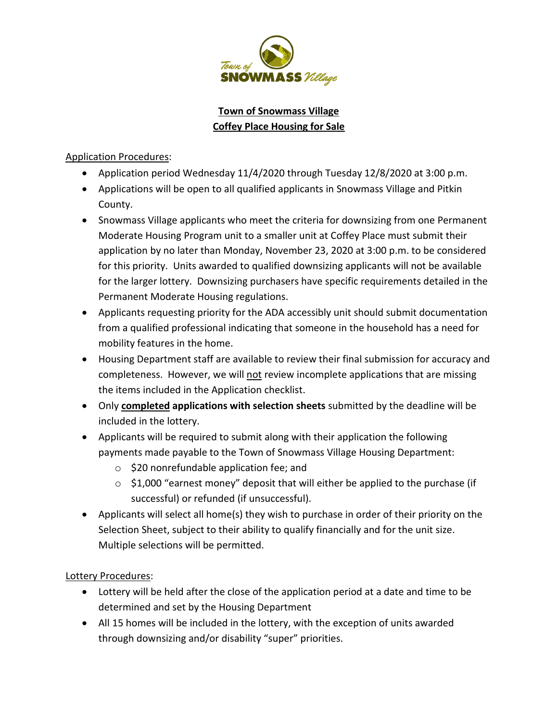

## **Town of Snowmass Village Coffey Place Housing for Sale**

### Application Procedures:

- Application period Wednesday 11/4/2020 through Tuesday 12/8/2020 at 3:00 p.m.
- Applications will be open to all qualified applicants in Snowmass Village and Pitkin County.
- Snowmass Village applicants who meet the criteria for downsizing from one Permanent Moderate Housing Program unit to a smaller unit at Coffey Place must submit their application by no later than Monday, November 23, 2020 at 3:00 p.m. to be considered for this priority. Units awarded to qualified downsizing applicants will not be available for the larger lottery. Downsizing purchasers have specific requirements detailed in the Permanent Moderate Housing regulations.
- Applicants requesting priority for the ADA accessibly unit should submit documentation from a qualified professional indicating that someone in the household has a need for mobility features in the home.
- Housing Department staff are available to review their final submission for accuracy and completeness. However, we will not review incomplete applications that are missing the items included in the Application checklist.
- Only **completed applications with selection sheets** submitted by the deadline will be included in the lottery.
- Applicants will be required to submit along with their application the following payments made payable to the Town of Snowmass Village Housing Department:
	- $\circ$  \$20 nonrefundable application fee; and
	- $\circ$  \$1,000 "earnest money" deposit that will either be applied to the purchase (if successful) or refunded (if unsuccessful).
- Applicants will select all home(s) they wish to purchase in order of their priority on the Selection Sheet, subject to their ability to qualify financially and for the unit size. Multiple selections will be permitted.

## Lottery Procedures:

- Lottery will be held after the close of the application period at a date and time to be determined and set by the Housing Department
- All 15 homes will be included in the lottery, with the exception of units awarded through downsizing and/or disability "super" priorities.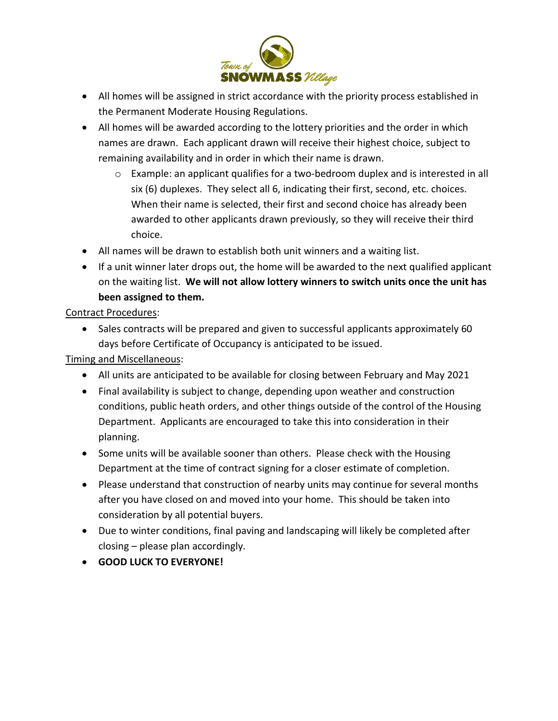

- All homes will be assigned in strict accordance with the priority process established in the Permanent Moderate Housing Regulations.
- All homes will be awarded according to the lottery priorities and the order in which names are drawn. Each applicant drawn will receive their highest choice, subject to remaining availability and in order in which their name is drawn.
	- o Example: an applicant qualifies for a two-bedroom duplex and is interested in all six (6) duplexes. They select all 6, indicating their first, second, etc. choices. When their name is selected, their first and second choice has already been awarded to other applicants drawn previously, so they will receive their third choice.
- All names will be drawn to establish both unit winners and a waiting list.
- If a unit winner later drops out, the home will be awarded to the next qualified applicant on the waiting list. **We will not allow lottery winners to switch units once the unit has been assigned to them.**

Contract Procedures:

• Sales contracts will be prepared and given to successful applicants approximately 60 days before Certificate of Occupancy is anticipated to be issued.

Timing and Miscellaneous:

- All units are anticipated to be available for closing between February and May 2021
- Final availability is subject to change, depending upon weather and construction conditions, public heath orders, and other things outside of the control of the Housing Department. Applicants are encouraged to take this into consideration in their planning.
- Some units will be available sooner than others. Please check with the Housing Department at the time of contract signing for a closer estimate of completion.
- Please understand that construction of nearby units may continue for several months after you have closed on and moved into your home. This should be taken into consideration by all potential buyers.
- Due to winter conditions, final paving and landscaping will likely be completed after closing – please plan accordingly.
- **GOOD LUCK TO EVERYONE!**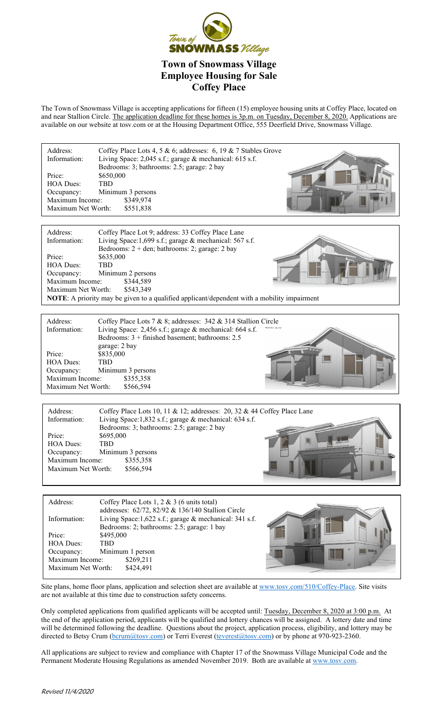

# **Town of Snowmass Village Employee Housing for Sale Coffey Place**

The Town of Snowmass Village is accepting applications for fifteen (15) employee housing units at Coffey Place, located on and near Stallion Circle. The application deadline for these homes is 3p.m. on Tuesday, December 8, 2020. Applications are available on our website at tosv.com or at the Housing Department Office, 555 Deerfield Drive, Snowmass Village.

| Address:<br>Information: | Coffey Place Lots 4, 5 & 6; addresses: 6, 19 & 7 Stables Grove<br>Living Space: 2,045 s.f.; garage & mechanical: 615 s.f.<br>Bedrooms: 3; bathrooms: 2.5; garage: 2 bay |  |
|--------------------------|-------------------------------------------------------------------------------------------------------------------------------------------------------------------------|--|
| Price:                   | \$650,000                                                                                                                                                               |  |
| <b>HOA Dues:</b>         | <b>TRD</b>                                                                                                                                                              |  |
| Occupancy:               | Minimum 3 persons                                                                                                                                                       |  |
| Maximum Income:          | \$349,974                                                                                                                                                               |  |
| Maximum Net Worth:       | \$551,838                                                                                                                                                               |  |
|                          |                                                                                                                                                                         |  |
|                          |                                                                                                                                                                         |  |

| Address:<br>Information:                                                                           | Coffey Place Lot 9; address: 33 Coffey Place Lane<br>Living Space: 1,699 s.f.; garage & mechanical: 567 s.f.<br>Bedrooms: $2 +$ den; bathrooms: 2; garage: 2 bay |  |  |
|----------------------------------------------------------------------------------------------------|------------------------------------------------------------------------------------------------------------------------------------------------------------------|--|--|
| Price:                                                                                             | \$635,000                                                                                                                                                        |  |  |
| <b>HOA Dues:</b>                                                                                   | TBD                                                                                                                                                              |  |  |
| Occupancy:                                                                                         | Minimum 2 persons                                                                                                                                                |  |  |
| Maximum Income:<br>\$344,589                                                                       |                                                                                                                                                                  |  |  |
| Maximum Net Worth:                                                                                 | \$543,349                                                                                                                                                        |  |  |
| <b>NOTE:</b> A priority may be given to a qualified applicant/dependent with a mobility impairment |                                                                                                                                                                  |  |  |

| Address:<br>Information: | Coffey Place Lots 7 & 8; addresses: 342 & 314 Stallion Circle<br>$\overline{1}$<br>Living Space: 2,456 s.f.; garage & mechanical: 664 s.f.<br>Bedrooms: $3 +$ finished basement; bathrooms: 2.5<br>garage: 2 bay |
|--------------------------|------------------------------------------------------------------------------------------------------------------------------------------------------------------------------------------------------------------|
| Price:                   | \$835,000                                                                                                                                                                                                        |
| <b>HOA Dues:</b>         | <b>TRD</b>                                                                                                                                                                                                       |
| Occupancy:               | Minimum 3 persons                                                                                                                                                                                                |
| Maximum Income:          | \$355,358                                                                                                                                                                                                        |
| Maximum Net Worth:       | \$566,594                                                                                                                                                                                                        |

| Address:           | Coffey Place Lots 10, 11 & 12; addresses: 20, 32 & 44 Coffey Place Lane |  |  |
|--------------------|-------------------------------------------------------------------------|--|--|
| Information:       | Living Space: 1,832 s.f.; garage & mechanical: 634 s.f.                 |  |  |
|                    | Bedrooms: 3; bathrooms: 2.5; garage: 2 bay                              |  |  |
| Price:             | \$695,000                                                               |  |  |
| <b>HOA Dues:</b>   | <b>TRD</b>                                                              |  |  |
| Occupancy:         | Minimum 3 persons                                                       |  |  |
| Maximum Income:    | \$355,358                                                               |  |  |
| Maximum Net Worth: | \$566,594                                                               |  |  |
|                    |                                                                         |  |  |

| Address:           | Coffey Place Lots 1, 2 & 3 (6 units total)<br>addresses: 62/72, 82/92 & 136/140 Stallion Circle |  |
|--------------------|-------------------------------------------------------------------------------------------------|--|
| Information:       | Living Space: 1,622 s.f.; garage & mechanical: 341 s.f.                                         |  |
|                    | Bedrooms: 2; bathrooms: 2.5; garage: 1 bay                                                      |  |
| Price:             | \$495,000                                                                                       |  |
| <b>HOA Dues:</b>   | <b>TBD</b>                                                                                      |  |
| Occupancy:         | Minimum 1 person                                                                                |  |
| Maximum Income:    | \$269,211                                                                                       |  |
| Maximum Net Worth: | \$424,491                                                                                       |  |
|                    |                                                                                                 |  |

Site plans, home floor plans, application and selection sheet are available a[t www.tosv.com/510/Coffey-Place.](http://www.tosv.com/510/Coffey-Place) Site visits are not available at this time due to construction safety concerns.

Only completed applications from qualified applicants will be accepted until: Tuesday, December 8, 2020 at 3:00 p.m. At the end of the application period, applicants will be qualified and lottery chances will be assigned. A lottery date and time will be determined following the deadline. Questions about the project, application process, eligibility, and lottery may be directed to Betsy Crum [\(bcrum@tosv.com\)](mailto:bcrum@tosv.com) or Terri Everest [\(teverest@tosv.com\)](mailto:teverest@tosv.com) or by phone at 970-923-2360.

All applications are subject to review and compliance with Chapter 17 of the Snowmass Village Municipal Code and the Permanent Moderate Housing Regulations as amended November 2019. Both are available at [www.tosv.com.](http://www.tosv.com/)